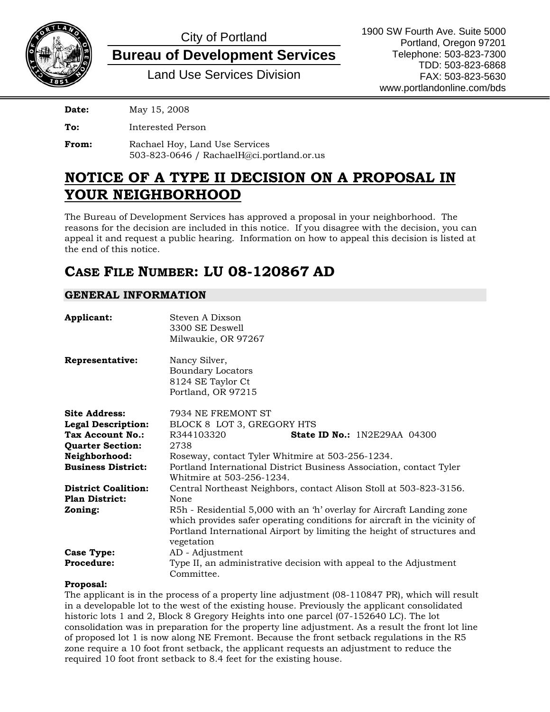

# City of Portland

### **Bureau of Development Services**

Land Use Services Division

**Date:** May 15, 2008

**To:** Interested Person

**From:** Rachael Hoy, Land Use Services 503-823-0646 / RachaelH@ci.portland.or.us

## **NOTICE OF A TYPE II DECISION ON A PROPOSAL IN YOUR NEIGHBORHOOD**

The Bureau of Development Services has approved a proposal in your neighborhood. The reasons for the decision are included in this notice. If you disagree with the decision, you can appeal it and request a public hearing. Information on how to appeal this decision is listed at the end of this notice.

### **CASE FILE NUMBER: LU 08-120867 AD**

### **GENERAL INFORMATION**

| Applicant:                                          | Steven A Dixson<br>3300 SE Deswell<br>Milwaukie, OR 97267                                                                                                                                                                                   |
|-----------------------------------------------------|---------------------------------------------------------------------------------------------------------------------------------------------------------------------------------------------------------------------------------------------|
| Representative:                                     | Nancy Silver,<br><b>Boundary Locators</b><br>8124 SE Taylor Ct<br>Portland, OR 97215                                                                                                                                                        |
| <b>Site Address:</b>                                | 7934 NE FREMONT ST                                                                                                                                                                                                                          |
| <b>Legal Description:</b>                           | BLOCK 8 LOT 3, GREGORY HTS                                                                                                                                                                                                                  |
| Tax Account No.:                                    | R344103320<br><b>State ID No.:</b> 1N2E29AA 04300                                                                                                                                                                                           |
| <b>Quarter Section:</b>                             | 2738                                                                                                                                                                                                                                        |
| Neighborhood:                                       | Roseway, contact Tyler Whitmire at 503-256-1234.                                                                                                                                                                                            |
| <b>Business District:</b>                           | Portland International District Business Association, contact Tyler<br>Whitmire at 503-256-1234.                                                                                                                                            |
| <b>District Coalition:</b>                          | Central Northeast Neighbors, contact Alison Stoll at 503-823-3156.                                                                                                                                                                          |
| <b>Plan District:</b>                               | None                                                                                                                                                                                                                                        |
| Zoning:                                             | R5h - Residential 5,000 with an 'h' overlay for Aircraft Landing zone<br>which provides safer operating conditions for aircraft in the vicinity of<br>Portland International Airport by limiting the height of structures and<br>vegetation |
| Case Type:                                          | AD - Adjustment                                                                                                                                                                                                                             |
| <b>Procedure:</b>                                   | Type II, an administrative decision with appeal to the Adjustment<br>Committee.                                                                                                                                                             |
| The contract of the Theorem and the Contract of the |                                                                                                                                                                                                                                             |

#### **Proposal:**

The applicant is in the process of a property line adjustment (08-110847 PR), which will result in a developable lot to the west of the existing house. Previously the applicant consolidated historic lots 1 and 2, Block 8 Gregory Heights into one parcel (07-152640 LC). The lot consolidation was in preparation for the property line adjustment. As a result the front lot line of proposed lot 1 is now along NE Fremont. Because the front setback regulations in the R5 zone require a 10 foot front setback, the applicant requests an adjustment to reduce the required 10 foot front setback to 8.4 feet for the existing house.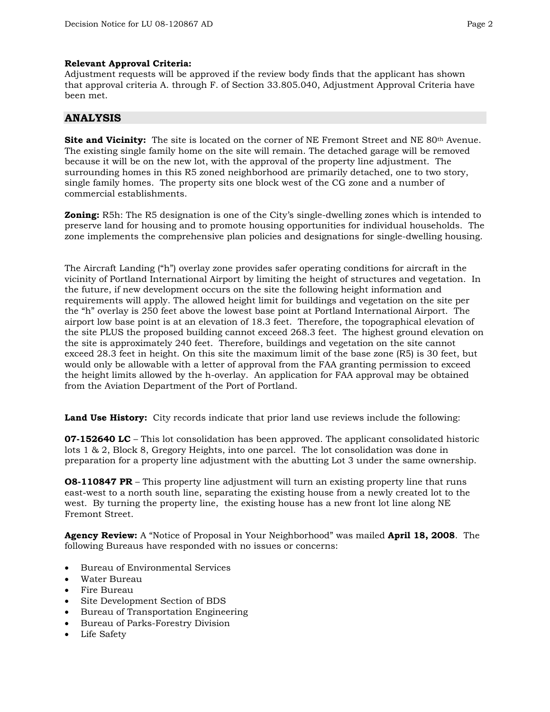#### **Relevant Approval Criteria:**

Adjustment requests will be approved if the review body finds that the applicant has shown that approval criteria A. through F. of Section 33.805.040, Adjustment Approval Criteria have been met.

#### **ANALYSIS**

**Site and Vicinity:** The site is located on the corner of NE Fremont Street and NE 80<sup>th</sup> Avenue. The existing single family home on the site will remain. The detached garage will be removed because it will be on the new lot, with the approval of the property line adjustment. The surrounding homes in this R5 zoned neighborhood are primarily detached, one to two story, single family homes. The property sits one block west of the CG zone and a number of commercial establishments.

**Zoning:** R5h: The R5 designation is one of the City's single-dwelling zones which is intended to preserve land for housing and to promote housing opportunities for individual households. The zone implements the comprehensive plan policies and designations for single-dwelling housing.

The Aircraft Landing ("h") overlay zone provides safer operating conditions for aircraft in the vicinity of Portland International Airport by limiting the height of structures and vegetation. In the future, if new development occurs on the site the following height information and requirements will apply. The allowed height limit for buildings and vegetation on the site per the "h" overlay is 250 feet above the lowest base point at Portland International Airport. The airport low base point is at an elevation of 18.3 feet. Therefore, the topographical elevation of the site PLUS the proposed building cannot exceed 268.3 feet. The highest ground elevation on the site is approximately 240 feet. Therefore, buildings and vegetation on the site cannot exceed 28.3 feet in height. On this site the maximum limit of the base zone (R5) is 30 feet, but would only be allowable with a letter of approval from the FAA granting permission to exceed the height limits allowed by the h-overlay. An application for FAA approval may be obtained from the Aviation Department of the Port of Portland.

**Land Use History:** City records indicate that prior land use reviews include the following:

**07-152640 LC** – This lot consolidation has been approved. The applicant consolidated historic lots 1 & 2, Block 8, Gregory Heights, into one parcel. The lot consolidation was done in preparation for a property line adjustment with the abutting Lot 3 under the same ownership.

**O8-110847 PR** – This property line adjustment will turn an existing property line that runs east-west to a north south line, separating the existing house from a newly created lot to the west. By turning the property line, the existing house has a new front lot line along NE Fremont Street.

**Agency Review:** A "Notice of Proposal in Your Neighborhood" was mailed **April 18, 2008**. The following Bureaus have responded with no issues or concerns:

- Bureau of Environmental Services
- Water Bureau
- Fire Bureau
- Site Development Section of BDS
- Bureau of Transportation Engineering
- Bureau of Parks-Forestry Division
- Life Safety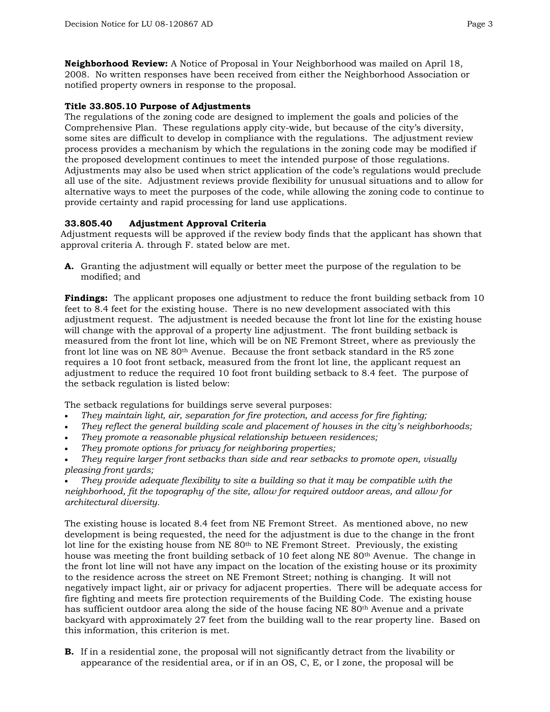**Neighborhood Review:** A Notice of Proposal in Your Neighborhood was mailed on April 18, 2008. No written responses have been received from either the Neighborhood Association or notified property owners in response to the proposal.

#### **Title 33.805.10 Purpose of Adjustments**

The regulations of the zoning code are designed to implement the goals and policies of the Comprehensive Plan. These regulations apply city-wide, but because of the city's diversity, some sites are difficult to develop in compliance with the regulations. The adjustment review process provides a mechanism by which the regulations in the zoning code may be modified if the proposed development continues to meet the intended purpose of those regulations. Adjustments may also be used when strict application of the code's regulations would preclude all use of the site. Adjustment reviews provide flexibility for unusual situations and to allow for alternative ways to meet the purposes of the code, while allowing the zoning code to continue to provide certainty and rapid processing for land use applications.

#### **33.805.40 Adjustment Approval Criteria**

Adjustment requests will be approved if the review body finds that the applicant has shown that approval criteria A. through F. stated below are met.

**A.** Granting the adjustment will equally or better meet the purpose of the regulation to be modified; and

**Findings:** The applicant proposes one adjustment to reduce the front building setback from 10 feet to 8.4 feet for the existing house. There is no new development associated with this adjustment request. The adjustment is needed because the front lot line for the existing house will change with the approval of a property line adjustment. The front building setback is measured from the front lot line, which will be on NE Fremont Street, where as previously the front lot line was on NE 80th Avenue. Because the front setback standard in the R5 zone requires a 10 foot front setback, measured from the front lot line, the applicant request an adjustment to reduce the required 10 foot front building setback to 8.4 feet. The purpose of the setback regulation is listed below:

The setback regulations for buildings serve several purposes:

- *They maintain light, air, separation for fire protection, and access for fire fighting;*
- *They reflect the general building scale and placement of houses in the city's neighborhoods;*
- *They promote a reasonable physical relationship between residences;*
- *They promote options for privacy for neighboring properties;*
- *They require larger front setbacks than side and rear setbacks to promote open, visually pleasing front yards;*
- *They provide adequate flexibility to site a building so that it may be compatible with the neighborhood, fit the topography of the site, allow for required outdoor areas, and allow for architectural diversity.*

The existing house is located 8.4 feet from NE Fremont Street. As mentioned above, no new development is being requested, the need for the adjustment is due to the change in the front lot line for the existing house from  $NE 80<sup>th</sup>$  to  $NE$  Fremont Street. Previously, the existing house was meeting the front building setback of 10 feet along NE 80<sup>th</sup> Avenue. The change in the front lot line will not have any impact on the location of the existing house or its proximity to the residence across the street on NE Fremont Street; nothing is changing. It will not negatively impact light, air or privacy for adjacent properties. There will be adequate access for fire fighting and meets fire protection requirements of the Building Code. The existing house has sufficient outdoor area along the side of the house facing NE 80<sup>th</sup> Avenue and a private backyard with approximately 27 feet from the building wall to the rear property line. Based on this information, this criterion is met.

**B.** If in a residential zone, the proposal will not significantly detract from the livability or appearance of the residential area, or if in an OS, C, E, or I zone, the proposal will be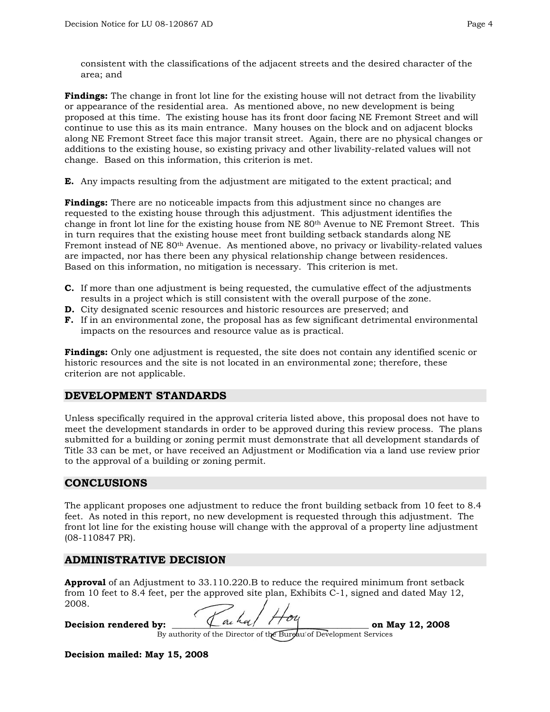consistent with the classifications of the adjacent streets and the desired character of the area; and

**Findings:** The change in front lot line for the existing house will not detract from the livability or appearance of the residential area. As mentioned above, no new development is being proposed at this time. The existing house has its front door facing NE Fremont Street and will continue to use this as its main entrance. Many houses on the block and on adjacent blocks along NE Fremont Street face this major transit street. Again, there are no physical changes or additions to the existing house, so existing privacy and other livability-related values will not change. Based on this information, this criterion is met.

**E.** Any impacts resulting from the adjustment are mitigated to the extent practical; and

**Findings:** There are no noticeable impacts from this adjustment since no changes are requested to the existing house through this adjustment. This adjustment identifies the change in front lot line for the existing house from NE 80th Avenue to NE Fremont Street. This in turn requires that the existing house meet front building setback standards along NE Fremont instead of NE 80th Avenue. As mentioned above, no privacy or livability-related values are impacted, nor has there been any physical relationship change between residences. Based on this information, no mitigation is necessary. This criterion is met.

- **C.** If more than one adjustment is being requested, the cumulative effect of the adjustments results in a project which is still consistent with the overall purpose of the zone.
- **D.** City designated scenic resources and historic resources are preserved; and
- **F.** If in an environmental zone, the proposal has as few significant detrimental environmental impacts on the resources and resource value as is practical.

**Findings:** Only one adjustment is requested, the site does not contain any identified scenic or historic resources and the site is not located in an environmental zone; therefore, these criterion are not applicable.

#### **DEVELOPMENT STANDARDS**

Unless specifically required in the approval criteria listed above, this proposal does not have to meet the development standards in order to be approved during this review process. The plans submitted for a building or zoning permit must demonstrate that all development standards of Title 33 can be met, or have received an Adjustment or Modification via a land use review prior to the approval of a building or zoning permit.

#### **CONCLUSIONS**

The applicant proposes one adjustment to reduce the front building setback from 10 feet to 8.4 feet. As noted in this report, no new development is requested through this adjustment. The front lot line for the existing house will change with the approval of a property line adjustment (08-110847 PR).

#### **ADMINISTRATIVE DECISION**

**Approval** of an Adjustment to 33.110.220.B to reduce the required minimum front setback from 10 feet to 8.4 feet, per the approved site plan, Exhibits C-1, signed and dated May 12, 2008.

**Decision rendered by:**  $\left\{\begin{array}{c} \Lambda \sim h \ll \end{array} \right\}$   $\left\{\begin{array}{c} \sqrt{\frac{h}{\sqrt{2}}} \sim \end{array} \right\}$  **on May 12, 2008** 

By authority of the Director of the Burgau of Development Services

**Decision mailed: May 15, 2008**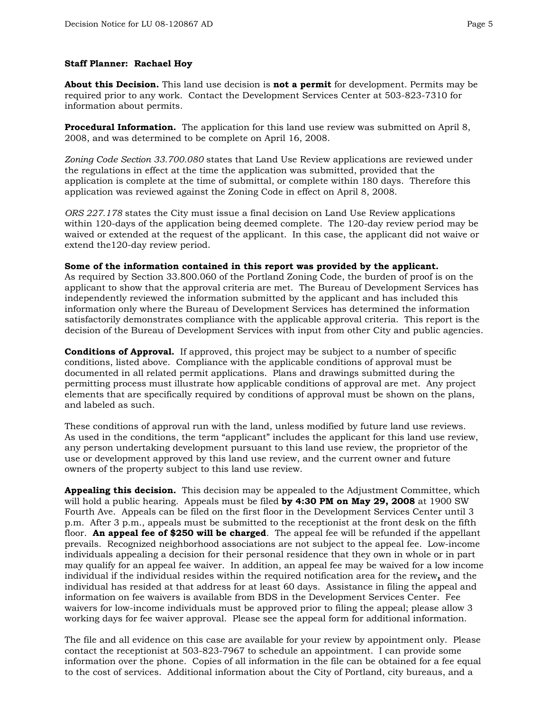#### **Staff Planner: Rachael Hoy**

**About this Decision.** This land use decision is **not a permit** for development. Permits may be required prior to any work. Contact the Development Services Center at 503-823-7310 for information about permits.

**Procedural Information.** The application for this land use review was submitted on April 8, 2008, and was determined to be complete on April 16, 2008.

*Zoning Code Section 33.700.080* states that Land Use Review applications are reviewed under the regulations in effect at the time the application was submitted, provided that the application is complete at the time of submittal, or complete within 180 days. Therefore this application was reviewed against the Zoning Code in effect on April 8, 2008.

*ORS 227.178* states the City must issue a final decision on Land Use Review applications within 120-days of the application being deemed complete. The 120-day review period may be waived or extended at the request of the applicant. In this case, the applicant did not waive or extend the120-day review period.

#### **Some of the information contained in this report was provided by the applicant.**

As required by Section 33.800.060 of the Portland Zoning Code, the burden of proof is on the applicant to show that the approval criteria are met. The Bureau of Development Services has independently reviewed the information submitted by the applicant and has included this information only where the Bureau of Development Services has determined the information satisfactorily demonstrates compliance with the applicable approval criteria. This report is the decision of the Bureau of Development Services with input from other City and public agencies.

**Conditions of Approval.** If approved, this project may be subject to a number of specific conditions, listed above. Compliance with the applicable conditions of approval must be documented in all related permit applications. Plans and drawings submitted during the permitting process must illustrate how applicable conditions of approval are met. Any project elements that are specifically required by conditions of approval must be shown on the plans, and labeled as such.

These conditions of approval run with the land, unless modified by future land use reviews. As used in the conditions, the term "applicant" includes the applicant for this land use review, any person undertaking development pursuant to this land use review, the proprietor of the use or development approved by this land use review, and the current owner and future owners of the property subject to this land use review.

**Appealing this decision.** This decision may be appealed to the Adjustment Committee, which will hold a public hearing. Appeals must be filed **by 4:30 PM on May 29, 2008** at 1900 SW Fourth Ave. Appeals can be filed on the first floor in the Development Services Center until 3 p.m. After 3 p.m., appeals must be submitted to the receptionist at the front desk on the fifth floor. **An appeal fee of \$250 will be charged**. The appeal fee will be refunded if the appellant prevails. Recognized neighborhood associations are not subject to the appeal fee. Low-income individuals appealing a decision for their personal residence that they own in whole or in part may qualify for an appeal fee waiver. In addition, an appeal fee may be waived for a low income individual if the individual resides within the required notification area for the review**,** and the individual has resided at that address for at least 60 days. Assistance in filing the appeal and information on fee waivers is available from BDS in the Development Services Center. Fee waivers for low-income individuals must be approved prior to filing the appeal; please allow 3 working days for fee waiver approval. Please see the appeal form for additional information.

The file and all evidence on this case are available for your review by appointment only. Please contact the receptionist at 503-823-7967 to schedule an appointment. I can provide some information over the phone. Copies of all information in the file can be obtained for a fee equal [to the cost of services. Ad](http://www.ci.portland.or.us/)ditional information about the City of Portland, city bureaus, and a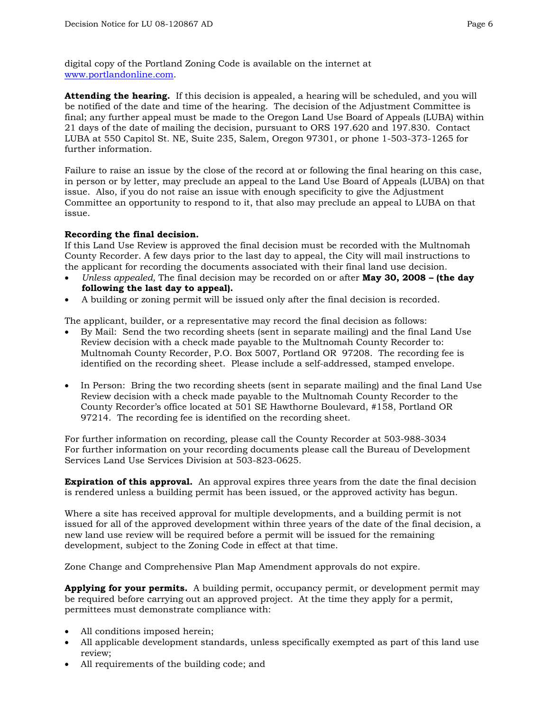digital copy of the Portland Zoning Code is available on the internet at www.portlandonline.com.

**Attending the hearing.** If this decision is appealed, a hearing will be scheduled, and you will be notified of the date and time of the hearing. The decision of the Adjustment Committee is final; any further appeal must be made to the Oregon Land Use Board of Appeals (LUBA) within 21 days of the date of mailing the decision, pursuant to ORS 197.620 and 197.830. Contact LUBA at 550 Capitol St. NE, Suite 235, Salem, Oregon 97301, or phone 1-503-373-1265 for further information.

Failure to raise an issue by the close of the record at or following the final hearing on this case, in person or by letter, may preclude an appeal to the Land Use Board of Appeals (LUBA) on that issue. Also, if you do not raise an issue with enough specificity to give the Adjustment Committee an opportunity to respond to it, that also may preclude an appeal to LUBA on that issue.

#### **Recording the final decision.**

If this Land Use Review is approved the final decision must be recorded with the Multnomah County Recorder. A few days prior to the last day to appeal, the City will mail instructions to the applicant for recording the documents associated with their final land use decision.

- *Unless appealed,* The final decision may be recorded on or after **May 30, 2008 (the day following the last day to appeal).**
- A building or zoning permit will be issued only after the final decision is recorded.

The applicant, builder, or a representative may record the final decision as follows:

- By Mail: Send the two recording sheets (sent in separate mailing) and the final Land Use Review decision with a check made payable to the Multnomah County Recorder to: Multnomah County Recorder, P.O. Box 5007, Portland OR 97208. The recording fee is identified on the recording sheet. Please include a self-addressed, stamped envelope.
- In Person: Bring the two recording sheets (sent in separate mailing) and the final Land Use Review decision with a check made payable to the Multnomah County Recorder to the County Recorder's office located at 501 SE Hawthorne Boulevard, #158, Portland OR 97214. The recording fee is identified on the recording sheet.

For further information on recording, please call the County Recorder at 503-988-3034 For further information on your recording documents please call the Bureau of Development Services Land Use Services Division at 503-823-0625.

**Expiration of this approval.** An approval expires three years from the date the final decision is rendered unless a building permit has been issued, or the approved activity has begun.

Where a site has received approval for multiple developments, and a building permit is not issued for all of the approved development within three years of the date of the final decision, a new land use review will be required before a permit will be issued for the remaining development, subject to the Zoning Code in effect at that time.

Zone Change and Comprehensive Plan Map Amendment approvals do not expire.

**Applying for your permits.** A building permit, occupancy permit, or development permit may be required before carrying out an approved project. At the time they apply for a permit, permittees must demonstrate compliance with:

- All conditions imposed herein;
- All applicable development standards, unless specifically exempted as part of this land use review;
- All requirements of the building code; and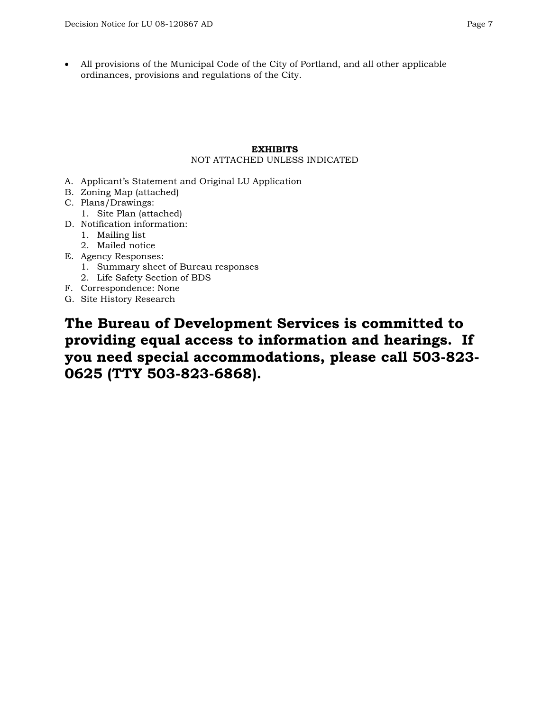• All provisions of the Municipal Code of the City of Portland, and all other applicable ordinances, provisions and regulations of the City.

#### **EXHIBITS**

#### NOT ATTACHED UNLESS INDICATED

- A. Applicant's Statement and Original LU Application
- B. Zoning Map (attached)
- C. Plans/Drawings:
	- 1. Site Plan (attached)
- D. Notification information:
	- 1. Mailing list
	- 2. Mailed notice
- E. Agency Responses:
	- 1. Summary sheet of Bureau responses
	- 2. Life Safety Section of BDS
- F. Correspondence: None
- G. Site History Research

**The Bureau of Development Services is committed to providing equal access to information and hearings. If you need special accommodations, please call 503-823- 0625 (TTY 503-823-6868).**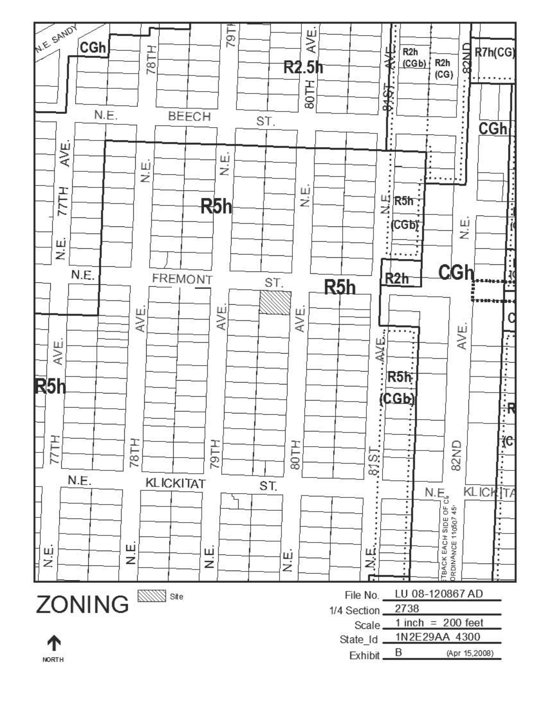